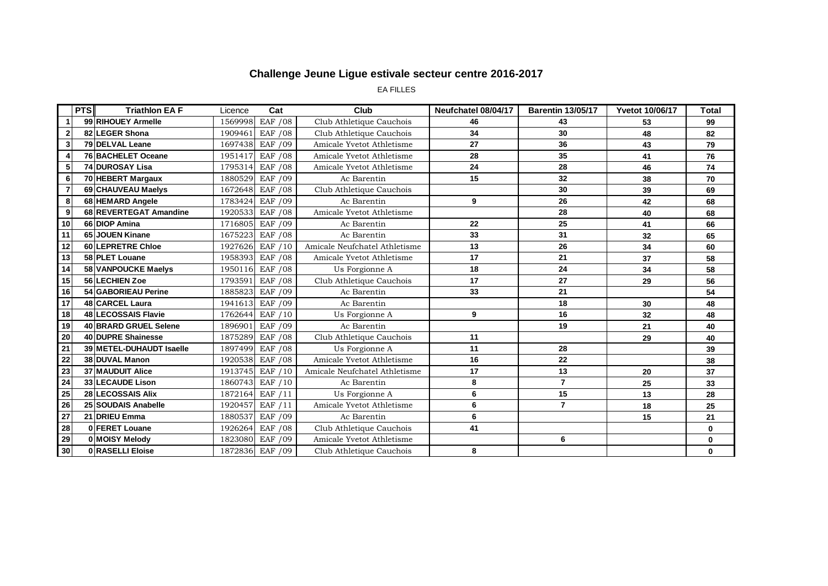EA FILLES

|                 | <b>PTS</b> | <b>Triathlon EA F</b>    | Licence | Cat      | Club                          | Neufchatel 08/04/17 | <b>Barentin 13/05/17</b> | <b>Yvetot 10/06/17</b> | Total        |
|-----------------|------------|--------------------------|---------|----------|-------------------------------|---------------------|--------------------------|------------------------|--------------|
| 1               |            | 99 RIHOUEY Armelle       | 1569998 | EAF / 08 | Club Athletique Cauchois      | 46                  | 43                       | 53                     | 99           |
| $\mathbf{2}$    |            | 82 LEGER Shona           | 1909461 | EAF / 08 | Club Athletique Cauchois      | 34                  | 30                       | 48                     | 82           |
| 3               |            | 79 DELVAL Leane          | 1697438 | EAF / 09 | Amicale Yvetot Athletisme     | 27                  | 36                       | 43                     | 79           |
| 4               |            | 76 BACHELET Oceane       | 1951417 | EAF / 08 | Amicale Yvetot Athletisme     | 28                  | 35                       | 41                     | 76           |
| 5               |            | 74 DUROSAY Lisa          | 1795314 | EAF / 08 | Amicale Yvetot Athletisme     | 24                  | 28                       | 46                     | 74           |
| 6               |            | 70 HEBERT Margaux        | 1880529 | EAF / 09 | Ac Barentin                   | 15                  | 32                       | 38                     | 70           |
| $\overline{7}$  |            | 69 CHAUVEAU Maelys       | 1672648 | EAF / 08 | Club Athletique Cauchois      |                     | 30                       | 39                     | 69           |
| 8               |            | 68 HEMARD Angele         | 1783424 | EAF / 09 | Ac Barentin                   | 9                   | 26                       | 42                     | 68           |
| 9               |            | 68 REVERTEGAT Amandine   | 1920533 | EAF / 08 | Amicale Yvetot Athletisme     |                     | 28                       | 40                     | 68           |
| 10              |            | 66 DIOP Amina            | 1716805 | EAF / 09 | Ac Barentin                   | 22                  | 25                       | 41                     | 66           |
| 11              |            | 65 JOUEN Kinane          | 1675223 | EAF / 08 | Ac Barentin                   | 33                  | 31                       | 32                     | 65           |
| 12              |            | 60 LEPRETRE Chloe        | 1927626 | EAF / 10 | Amicale Neufchatel Athletisme | 13                  | 26                       | 34                     | 60           |
| 13              |            | 58 PLET Louane           | 1958393 | EAF / 08 | Amicale Yvetot Athletisme     | 17                  | 21                       | 37                     | 58           |
| 14              |            | 58 VANPOUCKE Maelys      | 1950116 | EAF / 08 | Us Forgionne A                | 18                  | 24                       | 34                     | 58           |
| 15              |            | 56 LECHIEN Zoe           | 179359  | EAF / 08 | Club Athletique Cauchois      | 17                  | 27                       | 29                     | 56           |
| 16              |            | 54 GABORIEAU Perine      | 1885823 | EAF / 09 | Ac Barentin                   | 33                  | 21                       |                        | 54           |
| 17              |            | 48 CARCEL Laura          | 1941613 | EAF / 09 | Ac Barentin                   |                     | 18                       | 30                     | 48           |
| 18              |            | 48 LECOSSAIS Flavie      | 1762644 | EAF / 10 | Us Forgionne A                | 9                   | 16                       | 32                     | 48           |
| 19              |            | 40 BRARD GRUEL Selene    | 1896901 | EAF / 09 | Ac Barentin                   |                     | 19                       | 21                     | 40           |
| 20              |            | 40 DUPRE Shainesse       | 1875289 | EAF / 08 | Club Athletique Cauchois      | 11                  |                          | 29                     | 40           |
| 21              |            | 39 METEL-DUHAUDT Isaelle | 1897499 | EAF / 08 | Us Forgionne A                | 11                  | 28                       |                        | 39           |
| 22              |            | 38 DUVAL Manon           | 1920538 | EAF / 08 | Amicale Yvetot Athletisme     | 16                  | 22                       |                        | 38           |
| $\overline{23}$ |            | <b>37 MAUDUIT Alice</b>  | 1913745 | EAF / 10 | Amicale Neufchatel Athletisme | 17                  | 13                       | 20                     | 37           |
| 24              |            | 33 LECAUDE Lison         | 1860743 | EAF / 10 | Ac Barentin                   | 8                   | $\overline{7}$           | 25                     | 33           |
| 25              |            | 28 LECOSSAIS Alix        | 1872164 | EAF / 11 | Us Forgionne A                | 6                   | 15                       | 13                     | 28           |
| ${\bf 26}$      |            | 25 SOUDAIS Anabelle      | 1920457 | EAF / 11 | Amicale Yvetot Athletisme     | 6                   | $\overline{7}$           | 18                     | 25           |
| 27              |            | 21 DRIEU Emma            | 1880537 | EAF / 09 | Ac Barentin                   | 6                   |                          | 15                     | 21           |
| 28              |            | 0 FERET Louane           | 1926264 | EAF / 08 | Club Athletique Cauchois      | 41                  |                          |                        | 0            |
| 29              |            | 0 MOISY Melody           | 1823080 | EAF / 09 | Amicale Yvetot Athletisme     |                     | 6                        |                        | $\mathbf 0$  |
| 30              |            | 0 RASELLI Eloise         | 1872836 | EAF / 09 | Club Athletique Cauchois      | 8                   |                          |                        | $\mathbf{0}$ |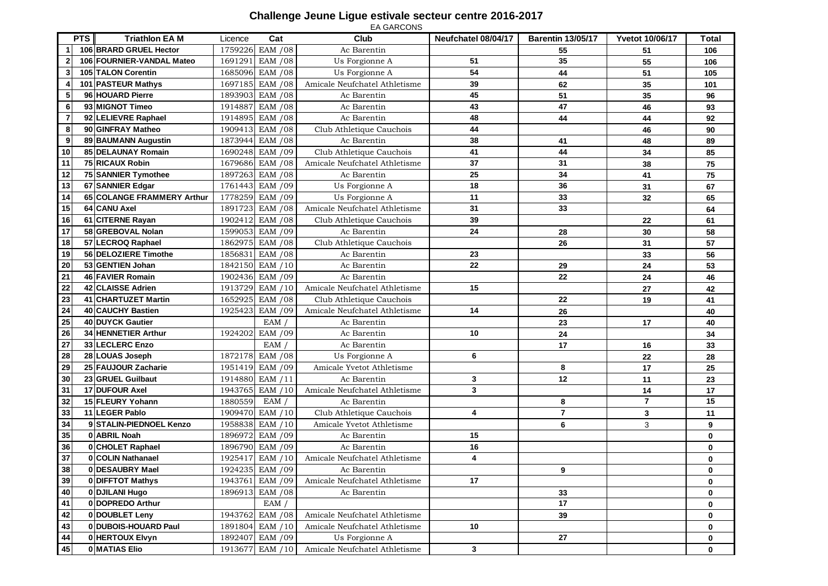|                         |                              |         |                  | EA GARCONS                    |                     |                          |                         |       |
|-------------------------|------------------------------|---------|------------------|-------------------------------|---------------------|--------------------------|-------------------------|-------|
|                         | <b>Triathlon EA M</b><br>PTS | Licence | Cat              | Club                          | Neufchatel 08/04/17 | <b>Barentin 13/05/17</b> | <b>Yvetot 10/06/17</b>  | Total |
| 1                       | 106 BRARD GRUEL Hector       |         | 1759226 EAM / 08 | Ac Barentin                   |                     | 55                       | 51                      | 106   |
| $\overline{\mathbf{2}}$ | 106 FOURNIER-VANDAL Mateo    | 169129  | EAM / 08         | Us Forgionne A                | 51                  | 35                       | 55                      | 106   |
| $\mathbf{3}$            | 105 TALON Corentin           | 1685096 | EAM / 08         | Us Forgionne A                | 54                  | 44                       | 51                      | 105   |
| 4                       | 101 PASTEUR Mathys           | 1697185 | <b>EAM /08</b>   | Amicale Neufchatel Athletisme | 39                  | 62                       | 35                      | 101   |
| 5                       | 96 HOUARD Pierre             | 1893903 | EAM / 08         | Ac Barentin                   | 45                  | 51                       | 35                      | 96    |
| $\boldsymbol{6}$        | 93 MIGNOT Timeo              | 1914887 | <b>EAM /08</b>   | Ac Barentin                   | 43                  | 47                       | 46                      | 93    |
| $\overline{7}$          | 92 LELIEVRE Raphael          | 1914895 | EAM / 08         | Ac Barentin                   | 48                  | 44                       | 44                      | 92    |
| 8                       | 90 GINFRAY Matheo            | 1909413 | EAM / 08         | Club Athletique Cauchois      | 44                  |                          | 46                      | 90    |
| $\boldsymbol{9}$        | 89 BAUMANN Augustin          | 1873944 | <b>EAM /08</b>   | Ac Barentin                   | 38                  | 41                       | 48                      | 89    |
| 10                      | 85 DELAUNAY Romain           | 1690248 | EAM / 09         | Club Athletique Cauchois      | 41                  | 44                       | 34                      | 85    |
| $\overline{11}$         | <b>75 RICAUX Robin</b>       |         | 1679686 EAM / 08 | Amicale Neufchatel Athletisme | 37                  | 31                       | 38                      | 75    |
| 12                      | 75 SANNIER Tymothee          | 1897263 | EAM / 08         | Ac Barentin                   | 25                  | 34                       | 41                      | 75    |
| 13                      | 67 SANNIER Edgar             | 1761443 | EAM / 09         | Us Forgionne A                | 18                  | 36                       | 31                      | 67    |
| 14                      | 65 COLANGE FRAMMERY Arthur   | 1778259 | EAM /09          | Us Forgionne A                | 11                  | 33                       | 32                      | 65    |
| 15                      | 64 CANU Axel                 | 1891723 | <b>EAM /08</b>   | Amicale Neufchatel Athletisme | 31                  | 33                       |                         | 64    |
| 16                      | 61 CITERNE Rayan             | 1902412 | EAM / 08         | Club Athletique Cauchois      | 39                  |                          | 22                      | 61    |
| $\overline{17}$         | 58 GREBOVAL Nolan            | 1599053 | EAM / 09         | Ac Barentin                   | 24                  | 28                       | 30                      | 58    |
| 18                      | 57 LECROQ Raphael            | 1862975 | <b>EAM</b> / 08  | Club Athletique Cauchois      |                     | 26                       | 31                      | 57    |
| 19                      | 56 DELOZIERE Timothe         | 1856831 | <b>EAM /08</b>   | Ac Barentin                   | 23                  |                          | 33                      | 56    |
| 20                      | 53 GENTIEN Johan             | 1842150 | EAM / 10         | Ac Barentin                   | 22                  | 29                       | 24                      | 53    |
| 21                      | 46 FAVIER Romain             |         | 1902436 EAM /09  | Ac Barentin                   |                     | 22                       | 24                      | 46    |
| 22                      | 42 CLAISSE Adrien            | 1913729 | EAM / 10         | Amicale Neufchatel Athletisme | 15                  |                          | 27                      | 42    |
| 23                      | 41 CHARTUZET Martin          | 1652925 | <b>EAM /08</b>   | Club Athletique Cauchois      |                     | 22                       | 19                      | 41    |
| 24                      | 40 CAUCHY Bastien            | 1925423 | EAM / 09         | Amicale Neufchatel Athletisme | 14                  | 26                       |                         | 40    |
| 25                      | 40 DUYCK Gautier             |         | EAM /            | Ac Barentin                   |                     | 23                       | 17                      | 40    |
| 26                      | 34 HENNETIER Arthur          | 1924202 | EAM / 09         | Ac Barentin                   | 10                  | 24                       |                         | 34    |
| 27                      | 33 LECLERC Enzo              |         | <b>EAM</b>       | Ac Barentin                   |                     | 17                       | 16                      | 33    |
| 28                      | 28 LOUAS Joseph              | 1872178 | EAM / 08         | Us Forgionne A                | 6                   |                          | 22                      | 28    |
| 29                      | 25 FAUJOUR Zacharie          | 1951419 | EAM / 09         | Amicale Yvetot Athletisme     |                     | 8                        | 17                      | 25    |
| 30                      | 23 GRUEL Guilbaut            | 1914880 | EAM / 11         | Ac Barentin                   | 3                   | 12                       | 11                      | 23    |
| 31                      | 17 DUFOUR Axel               | 1943765 | EAM / 10         | Amicale Neufchatel Athletisme | 3                   |                          | 14                      | 17    |
| 32                      | 15 FLEURY Yohann             | 1880559 | EAM/             | Ac Barentin                   |                     | 8                        | $\overline{\mathbf{r}}$ | 15    |
| 33                      | 11 LEGER Pablo               | 1909470 | EAM / 10         | Club Athletique Cauchois      | 4                   | $\overline{7}$           | 3                       | 11    |
| 34                      | 9 STALIN-PIEDNOEL Kenzo      | 1958838 | EAM / 10         | Amicale Yvetot Athletisme     |                     | 6                        | 3                       | 9     |
| 35                      | 0 ABRIL Noah                 | 1896972 | EAM / 09         | Ac Barentin                   | 15                  |                          |                         | 0     |
| 36                      | 0 CHOLET Raphael             | 1896790 | EAM / 09         | Ac Barentin                   | 16                  |                          |                         | 0     |
| $\overline{37}$         | <b>COLIN Nathanael</b>       | 1925417 | EAM / 10         | Amicale Neufchatel Athletisme | 4                   |                          |                         | 0     |
| 38                      | 0 DESAUBRY Mael              |         | 1924235 EAM / 09 | Ac Barentin                   |                     | 9                        |                         | 0     |
| 39                      | 0 DIFFTOT Mathys             | 1943761 | EAM / 09         | Amicale Neufchatel Athletisme | 17                  |                          |                         | 0     |
| 40                      | 0 DJILANI Hugo               |         | 1896913 EAM / 08 | Ac Barentin                   |                     | 33                       |                         | 0     |
| 41                      | 0 DOPREDO Arthur             |         | EAM/             |                               |                     | 17                       |                         | 0     |
| 42                      | 0 DOUBLET Leny               | 1943762 | EAM / 08         | Amicale Neufchatel Athletisme |                     | 39                       |                         | 0     |
| 43                      | 0 DUBOIS-HOUARD Paul         | 1891804 | EAM / 10         | Amicale Neufchatel Athletisme | 10                  |                          |                         | 0     |
| 44                      | 0 HERTOUX Elvyn              | 1892407 | EAM / 09         | Us Forgionne A                |                     | 27                       |                         | 0     |
| 45                      | 0 MATIAS Elio                |         | 1913677 EAM / 10 | Amicale Neufchatel Athletisme | $\mathbf{3}$        |                          |                         | 0     |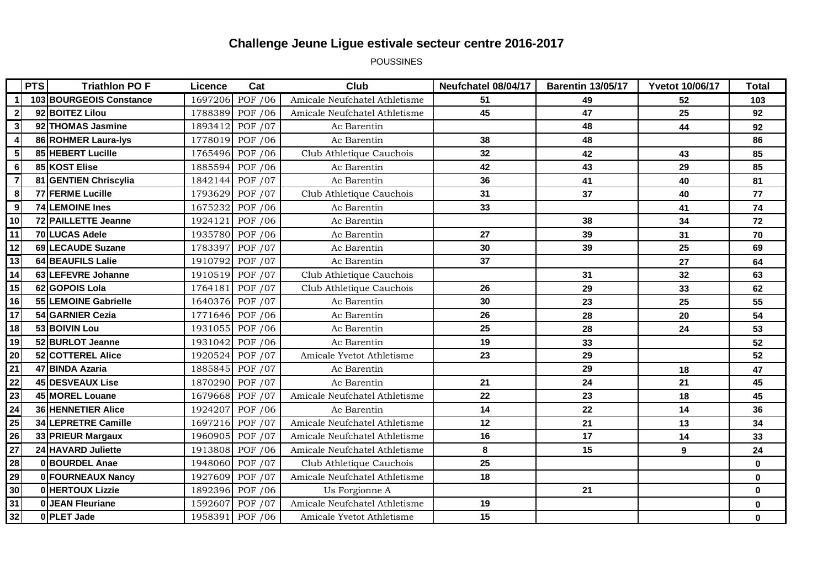POUSSINES

|                 | <b>PTS</b> | <b>Triathlon PO F</b>   | Licence | Cat             | <b>Club</b>                   | Neufchatel 08/04/17 | <b>Barentin 13/05/17</b> | <b>Yvetot 10/06/17</b> | <b>Total</b> |
|-----------------|------------|-------------------------|---------|-----------------|-------------------------------|---------------------|--------------------------|------------------------|--------------|
|                 |            | 103 BOURGEOIS Constance | 1697206 | POF /06         | Amicale Neufchatel Athletisme | 51                  | 49                       | 52                     | 103          |
| $\mathbf{2}$    |            | 92 BOITEZ Lilou         | 1788389 | POF / 06        | Amicale Neufchatel Athletisme | 45                  | 47                       | 25                     | 92           |
| 3               |            | 92 THOMAS Jasmine       | 1893412 | POF /07         | Ac Barentin                   |                     | 48                       | 44                     | 92           |
| 4               |            | 86 ROHMER Laura-lys     |         | 1778019 POF /06 | Ac Barentin                   | 38                  | 48                       |                        | 86           |
| 5 <sub>5</sub>  |            | 85 HEBERT Lucille       | 1765496 | POF /06         | Club Athletique Cauchois      | 32                  | 42                       | 43                     | 85           |
| $6 \mid$        |            | 85 KOST Elise           | 1885594 | POF / 06        | Ac Barentin                   | 42                  | 43                       | 29                     | 85           |
| $\overline{7}$  |            | 81 GENTIEN Chriscylia   | 1842144 | POF /07         | Ac Barentin                   | 36                  | 41                       | 40                     | 81           |
| 8               |            | 77 FERME Lucille        | 1793629 | POF /07         | Club Athletique Cauchois      | 31                  | 37                       | 40                     | 77           |
| 9               |            | 74 LEMOINE Ines         | 1675232 | POF /06         | Ac Barentin                   | 33                  |                          | 41                     | 74           |
| 10              |            | 72 PAILLETTE Jeanne     | 1924121 | POF / 06        | Ac Barentin                   |                     | 38                       | 34                     | 72           |
| 11              |            | <b>70 LUCAS Adele</b>   | 1935780 | POF / 06        | Ac Barentin                   | 27                  | 39                       | 31                     | 70           |
| 12              |            | 69 LECAUDE Suzane       | 1783397 | POF /07         | Ac Barentin                   | 30                  | 39                       | 25                     | 69           |
| 13              |            | 64 BEAUFILS Lalie       | 1910792 | POF /07         | Ac Barentin                   | 37                  |                          | 27                     | 64           |
| 14              |            | 63 LEFEVRE Johanne      |         | 1910519 POF /07 | Club Athletique Cauchois      |                     | 31                       | 32                     | 63           |
| 15              |            | 62 GOPOIS Lola          | 1764181 | POF /07         | Club Athletique Cauchois      | 26                  | 29                       | 33                     | 62           |
| 16              |            | 55 LEMOINE Gabrielle    |         | 1640376 POF /07 | Ac Barentin                   | 30                  | 23                       | 25                     | 55           |
| 17              |            | 54 GARNIER Cezia        |         | 1771646 POF /06 | Ac Barentin                   | 26                  | 28                       | 20                     | 54           |
| 18              |            | 53 BOIVIN Lou           | 1931055 | POF / 06        | Ac Barentin                   | 25                  | 28                       | 24                     | 53           |
| 19              |            | 52 BURLOT Jeanne        |         | 1931042 POF /06 | Ac Barentin                   | 19                  | 33                       |                        | 52           |
| 20              |            | 52 COTTEREL Alice       | 1920524 | POF /07         | Amicale Yvetot Athletisme     | 23                  | 29                       |                        | 52           |
| 21              |            | 47 BINDA Azaria         | 1885845 | POF /07         | Ac Barentin                   |                     | 29                       | 18                     | 47           |
| 22              |            | 45 DESVEAUX Lise        | 1870290 | POF /07         | Ac Barentin                   | 21                  | 24                       | 21                     | 45           |
| 23              |            | 45 MOREL Louane         |         | 1679668 POF /07 | Amicale Neufchatel Athletisme | 22                  | 23                       | 18                     | 45           |
| 24              |            | 36 HENNETIER Alice      | 1924207 | POF /06         | Ac Barentin                   | 14                  | 22                       | 14                     | 36           |
| 25              |            | 34 LEPRETRE Camille     |         | 1697216 POF /07 | Amicale Neufchatel Athletisme | 12                  | 21                       | 13                     | 34           |
| 26              |            | 33 PRIEUR Margaux       | 1960905 | POF /07         | Amicale Neufchatel Athletisme | 16                  | 17                       | 14                     | 33           |
| $\overline{27}$ |            | 24 HAVARD Juliette      | 1913808 | POF / 06        | Amicale Neufchatel Athletisme | 8                   | 15                       | 9                      | 24           |
| 28              |            | 0 BOURDEL Anae          | 1948060 | POF /07         | Club Athletique Cauchois      | 25                  |                          |                        | $\mathbf 0$  |
| 29              |            | 0 FOURNEAUX Nancy       | 1927609 | POF /07         | Amicale Neufchatel Athletisme | 18                  |                          |                        | $\mathbf 0$  |
| 30              |            | 0 HERTOUX Lizzie        | 1892396 | POF / 06        | Us Forgionne A                |                     | 21                       |                        | $\mathbf 0$  |
| 31              |            | <b>0 JEAN Fleuriane</b> | 1592607 | POF /07         | Amicale Neufchatel Athletisme | 19                  |                          |                        | $\mathbf 0$  |
| 32              |            | 0 PLET Jade             | 1958391 | POF /06         | Amicale Yvetot Athletisme     | 15                  |                          |                        | $\mathbf 0$  |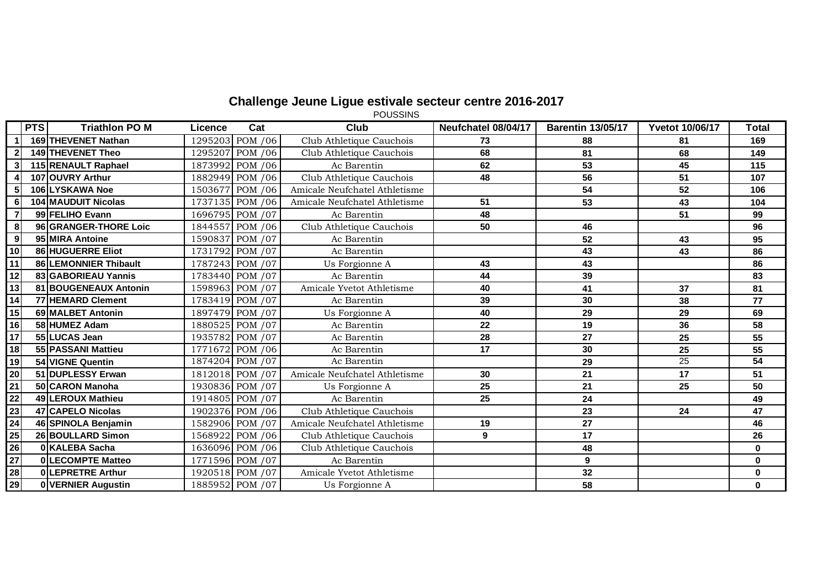POUSSINS

|                  | <b>PTS</b> | <b>Triathlon PO M</b>      | Licence | Cat              | <b>Club</b>                   | Neufchatel 08/04/17 | <b>Barentin 13/05/17</b> | <b>Yvetot 10/06/17</b> | Total        |
|------------------|------------|----------------------------|---------|------------------|-------------------------------|---------------------|--------------------------|------------------------|--------------|
| $\mathbf{1}$     |            | 169 THEVENET Nathan        |         | 1295203 POM / 06 | Club Athletique Cauchois      | 73                  | 88                       | 81                     | 169          |
| $2 \vert$        |            | 149 THEVENET Theo          | 1295207 | POM /06          | Club Athletique Cauchois      | 68                  | 81                       | 68                     | 149          |
| 3                |            | 115 RENAULT Raphael        |         | 1873992 POM /06  | Ac Barentin                   | 62                  | 53                       | 45                     | 115          |
| $\boldsymbol{4}$ |            | 107 OUVRY Arthur           |         | 1882949 POM /06  | Club Athletique Cauchois      | 48                  | 56                       | 51                     | 107          |
| 5 <sub>5</sub>   |            | 106 LYSKAWA Noe            |         | 1503677 POM /06  | Amicale Neufchatel Athletisme |                     | 54                       | 52                     | 106          |
| 6                |            | <b>104 MAUDUIT Nicolas</b> |         | 1737135 POM /06  | Amicale Neufchatel Athletisme | 51                  | 53                       | 43                     | 104          |
| $\overline{7}$   |            | 99 FELIHO Evann            |         | 1696795 POM /07  | Ac Barentin                   | 48                  |                          | 51                     | 99           |
| 8 <sup>1</sup>   |            | 96 GRANGER-THORE Loic      |         | 1844557 POM /06  | Club Athletique Cauchois      | 50                  | 46                       |                        | 96           |
| 9                |            | 95 MIRA Antoine            |         | 1590837 POM /07  | Ac Barentin                   |                     | 52                       | 43                     | 95           |
| 10               |            | 86 HUGUERRE Eliot          |         | 1731792 POM /07  | Ac Barentin                   |                     | 43                       | 43                     | 86           |
| $\frac{11}{12}$  |            | 86 LEMONNIER Thibault      |         | 1787243 POM /07  | Us Forgionne A                | 43                  | 43                       |                        | 86           |
|                  |            | 83 GABORIEAU Yannis        |         | 1783440 POM /07  | Ac Barentin                   | 44                  | 39                       |                        | 83           |
| 13               |            | 81 BOUGENEAUX Antonin      |         | 1598963 POM /07  | Amicale Yvetot Athletisme     | 40                  | 41                       | 37                     | 81           |
| 14               |            | 77 HEMARD Clement          |         | 1783419 POM /07  | Ac Barentin                   | 39                  | 30                       | 38                     | 77           |
| 15               |            | 69 MALBET Antonin          |         | 1897479 POM /07  | Us Forgionne A                | 40                  | 29                       | 29                     | 69           |
| $\overline{16}$  |            | 58 HUMEZ Adam              |         | 1880525 POM /07  | Ac Barentin                   | 22                  | 19                       | 36                     | 58           |
| $\overline{17}$  |            | 55 LUCAS Jean              |         | 1935782 POM /07  | Ac Barentin                   | 28                  | 27                       | 25                     | 55           |
| 18               |            | 55 PASSANI Mattieu         |         | 1771672 POM /06  | Ac Barentin                   | 17                  | 30                       | 25                     | 55           |
| 19               |            | 54 VIGNE Quentin           |         | 1874204 POM /07  | Ac Barentin                   |                     | 29                       | 25                     | 54           |
|                  |            | 51 DUPLESSY Erwan          |         | 1812018 POM /07  | Amicale Neufchatel Athletisme | 30                  | 21                       | 17                     | 51           |
|                  |            | 50 CARON Manoha            |         | 1930836 POM /07  | Us Forgionne A                | 25                  | 21                       | 25                     | 50           |
|                  |            | 49 LEROUX Mathieu          |         | 1914805 POM /07  | Ac Barentin                   | 25                  | 24                       |                        | 49           |
|                  |            | 47 CAPELO Nicolas          |         | 1902376 POM /06  | Club Athletique Cauchois      |                     | 23                       | 24                     | 47           |
|                  |            | 46 SPINOLA Benjamin        |         | 1582906 POM /07  | Amicale Neufchatel Athletisme | 19                  | 27                       |                        | 46           |
|                  |            | 26 BOULLARD Simon          |         | 1568922 POM /06  | Club Athletique Cauchois      | 9                   | 17                       |                        | 26           |
|                  |            | 0 KALEBA Sacha             |         | 1636096 POM /06  | Club Athletique Cauchois      |                     | 48                       |                        | $\mathbf{0}$ |
|                  |            | 0 LECOMPTE Matteo          |         | 1771596 POM /07  | Ac Barentin                   |                     | 9                        |                        | $\bf{0}$     |
|                  |            | 0 LEPRETRE Arthur          |         | 1920518 POM /07  | Amicale Yvetot Athletisme     |                     | 32                       |                        | 0            |
|                  |            | 0 VERNIER Augustin         |         | 1885952 POM /07  | Us Forgionne A                |                     | 58                       |                        | $\mathbf{0}$ |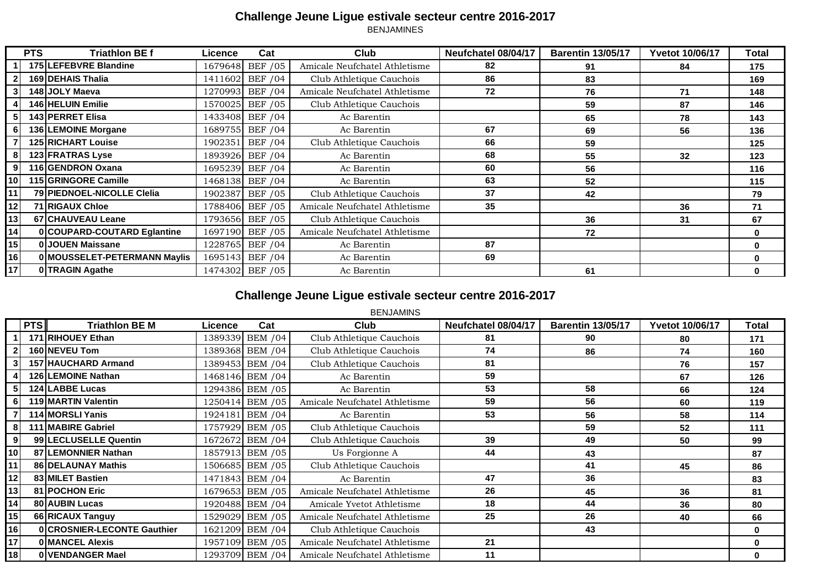|                 | <b>PTS</b> | <b>Triathlon BEf</b>         | Licence | Cat              | Club                          | Neufchatel 08/04/17 | <b>Barentin 13/05/17</b> | <b>Yvetot 10/06/17</b> | Total        |
|-----------------|------------|------------------------------|---------|------------------|-------------------------------|---------------------|--------------------------|------------------------|--------------|
|                 |            | 175 LEFEBVRE Blandine        | 1679648 | <b>BEF /05</b>   | Amicale Neufchatel Athletisme | 82                  | 91                       | 84                     | 175          |
|                 |            | <b>169 DEHAIS Thalia</b>     | 1411602 | <b>BEF /04</b>   | Club Athletique Cauchois      | 86                  | 83                       |                        | 169          |
|                 |            | 148 JOLY Maeva               | 1270993 | <b>BEF /04</b>   | Amicale Neufchatel Athletisme | 72                  | 76                       | 71                     | 148          |
|                 |            | 146 HELUIN Emilie            | 1570025 | <b>BEF /05</b>   | Club Athletique Cauchois      |                     | 59                       | 87                     | 146          |
| 51              |            | 143 PERRET Elisa             | 1433408 | <b>BEF /04</b>   | Ac Barentin                   |                     | 65                       | 78                     | 143          |
| 61              |            | 136 LEMOINE Morgane          | 1689755 | <b>BEF /04</b>   | Ac Barentin                   | 67                  | 69                       | 56                     | 136          |
|                 |            | <b>125 RICHART Louise</b>    | 1902351 | <b>BEF /04</b>   | Club Athletique Cauchois      | 66                  | 59                       |                        | 125          |
| 8               |            | 123 FRATRAS Lyse             |         | 1893926 BEF / 04 | Ac Barentin                   | 68                  | 55                       | 32                     | 123          |
| 91              |            | 116 GENDRON Oxana            | 1695239 | <b>BEF</b> / 04  | Ac Barentin                   | 60                  | 56                       |                        | 116          |
| 10 <sup>1</sup> |            | <b>115 GRINGORE Camille</b>  | 1468138 | <b>BEF /04</b>   | Ac Barentin                   | 63                  | 52                       |                        | 115          |
| 11              |            | 79 PIEDNOEL-NICOLLE Clelia   | 1902387 | <b>BEF</b> / 05  | Club Athletique Cauchois      | 37                  | 42                       |                        | 79           |
| 12              |            | 71 RIGAUX Chloe              |         | 1788406 BEF /05  | Amicale Neufchatel Athletisme | 35                  |                          | 36                     | 71           |
| 13              |            | 67 CHAUVEAU Leane            |         | 1793656 BEF /05  | Club Athletique Cauchois      |                     | 36                       | 31                     | 67           |
| 14              |            | 0 COUPARD-COUTARD Eglantine  | 1697190 | <b>BEF /05</b>   | Amicale Neufchatel Athletisme |                     | 72                       |                        | 0            |
| 15              |            | 0 JOUEN Maissane             |         | 1228765 BEF /04  | Ac Barentin                   | 87                  |                          |                        | 0            |
| 16              |            | 0 MOUSSELET-PETERMANN Maylis |         | 1695143 BEF /04  | Ac Barentin                   | 69                  |                          |                        | $\mathbf{0}$ |
| 17              |            | 0 TRAGIN Agathe              |         | 1474302 BEF /05  | Ac Barentin                   |                     | 61                       |                        | 0            |

# **Challenge Jeune Ligue estivale secteur centre 2016-2017**

#### BENJAMINS

|                | <b>PTS</b> | <b>Triathlon BE M</b>       | Licence | Cat             | <b>Club</b>                   | Neufchatel 08/04/17 | <b>Barentin 13/05/17</b> | <b>Yvetot 10/06/17</b> | <b>Total</b> |
|----------------|------------|-----------------------------|---------|-----------------|-------------------------------|---------------------|--------------------------|------------------------|--------------|
|                |            | 171 RIHOUEY Ethan           |         | 1389339 BEM /04 | Club Athletique Cauchois      | 81                  | 90                       | 80                     | 171          |
|                |            | 160 NEVEU Tom               |         | 1389368 BEM /04 | Club Athletique Cauchois      | 74                  | 86                       | 74                     | 160          |
|                |            | 157 HAUCHARD Armand         |         | 1389453 BEM /04 | Club Athletique Cauchois      | 81                  |                          | 76                     | 157          |
|                |            | 126 LEMOINE Nathan          |         | 1468146 BEM /04 | Ac Barentin                   | 59                  |                          | 67                     | 126          |
|                |            | 124 LABBE Lucas             |         | 1294386 BEM /05 | Ac Barentin                   | 53                  | 58                       | 66                     | 124          |
|                |            | 119 MARTIN Valentin         |         | 1250414 BEM /05 | Amicale Neufchatel Athletisme | 59                  | 56                       | 60                     | 119          |
|                |            | 114 MORSLI Yanis            |         | 1924181 BEM /04 | Ac Barentin                   | 53                  | 56                       | 58                     | 114          |
|                |            | <b>111 MABIRE Gabriel</b>   |         | 1757929 BEM /05 | Club Athletique Cauchois      |                     | 59                       | 52                     | 111          |
| 9 <sub>l</sub> |            | 99 LECLUSELLE Quentin       |         | 1672672 BEM /04 | Club Athletique Cauchois      | 39                  | 49                       | 50                     | 99           |
| 10             |            | 87 LEMONNIER Nathan         |         | 1857913 BEM /05 | Us Forgionne A                | 44                  | 43                       |                        | 87           |
| 11             |            | 86 DELAUNAY Mathis          |         | 1506685 BEM /05 | Club Athletique Cauchois      |                     | 41                       | 45                     | 86           |
| 12             |            | 83 MILET Bastien            |         | 1471843 BEM /04 | Ac Barentin                   | 47                  | 36                       |                        | 83           |
| 13             |            | 81 POCHON Eric              |         | 1679653 BEM /05 | Amicale Neufchatel Athletisme | 26                  | 45                       | 36                     | 81           |
| 14             |            | 80 AUBIN Lucas              |         | 1920488 BEM /04 | Amicale Yvetot Athletisme     | 18                  | 44                       | 36                     | 80           |
| 15             |            | 66 RICAUX Tanguy            |         | 1529029 BEM /05 | Amicale Neufchatel Athletisme | 25                  | 26                       | 40                     | 66           |
| 16             |            | 0 CROSNIER-LECONTE Gauthier |         | 1621209 BEM /04 | Club Athletique Cauchois      |                     | 43                       |                        | 0            |
| 17             |            | <b>0 MANCEL Alexis</b>      |         | 1957109 BEM /05 | Amicale Neufchatel Athletisme | 21                  |                          |                        | 0            |
| 18             |            | 0 VENDANGER Mael            |         | 1293709 BEM /04 | Amicale Neufchatel Athletisme | 11                  |                          |                        | 0            |